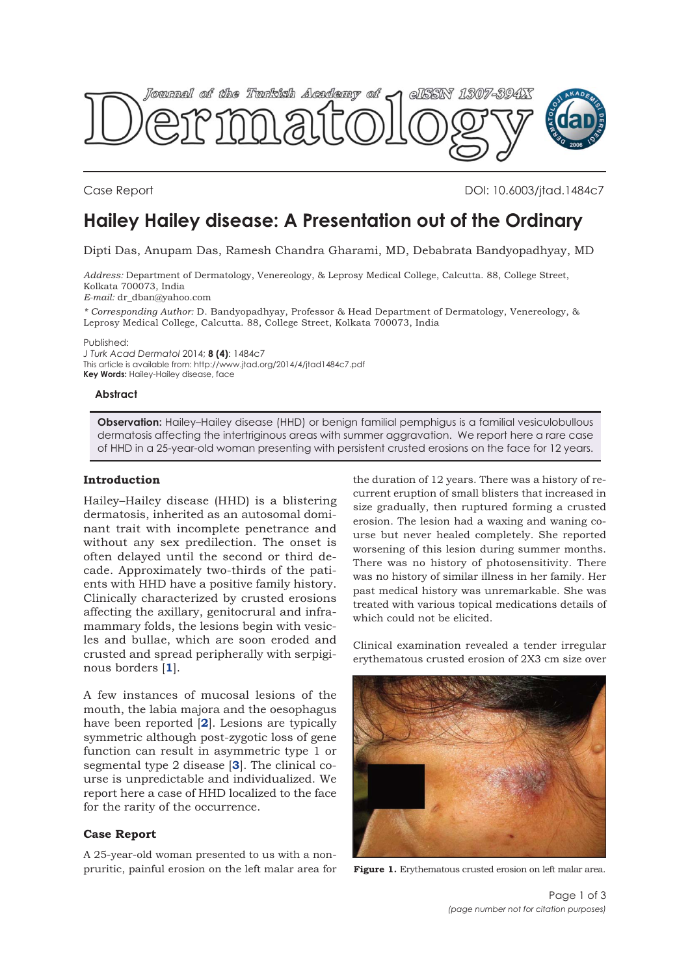

Case Report DOI: 10.6003/jtad.1484c7

# **Hailey Hailey disease: A Presentation out of the Ordinary**

Dipti Das, Anupam Das, Ramesh Chandra Gharami, MD, Debabrata Bandyopadhyay, MD

*Address:* Department of Dermatology, Venereology, & Leprosy Medical College, Calcutta. 88, College Street, Kolkata 700073, India *E-mail:* dr\_dban@yahoo.com

*\* Corresponding Author:* D. Bandyopadhyay, Professor & Head Department of Dermatology, Venereology, & Leprosy Medical College, Calcutta. 88, College Street, Kolkata 700073, India

Published:

*J Turk Acad Dermatol* 2014; **8 (4)**: 1484c7 This article is available from: http://www.jtad.org/2014/4/jtad1484c7.pdf **Key Words:** Hailey-Hailey disease, face

#### **Abstract**

**Observation:** Hailey–Hailey disease (HHD) or benign familial pemphigus is a familial vesiculobullous dermatosis affecting the intertriginous areas with summer aggravation. We report here a rare case of HHD in a 25-year-old woman presenting with persistent crusted erosions on the face for 12 years.

## **Introduction**

Hailey–Hailey disease (HHD) is a blistering dermatosis, inherited as an autosomal dominant trait with incomplete penetrance and without any sex predilection. The onset is often delayed until the second or third decade. Approximately two-thirds of the patients with HHD have a positive family history. Clinically characterized by crusted erosions affecting the axillary, genitocrural and inframammary folds, the lesions begin with vesicles and bullae, which are soon eroded and crusted and spread peripherally with serpiginous borders [**[1](#page-2-0)**].

A few instances of mucosal lesions of the mouth, the labia majora and the oesophagus have been reported [**[2](#page-2-0)**]. Lesions are typically symmetric although post-zygotic loss of gene function can result in asymmetric type 1 or segmental type 2 disease [**[3](#page-2-0)**]. The clinical course is unpredictable and individualized. We report here a case of HHD localized to the face for the rarity of the occurrence.

### **Case Report**

A 25-year-old woman presented to us with a nonpruritic, painful erosion on the left malar area for

the duration of 12 years. There was a history of recurrent eruption of small blisters that increased in size gradually, then ruptured forming a crusted erosion. The lesion had a waxing and waning course but never healed completely. She reported worsening of this lesion during summer months. There was no history of photosensitivity. There was no history of similar illness in her family. Her past medical history was unremarkable. She was treated with various topical medications details of which could not be elicited.

Clinical examination revealed a tender irregular erythematous crusted erosion of 2X3 cm size over



**Figure 1.** Erythematous crusted erosion on left malar area.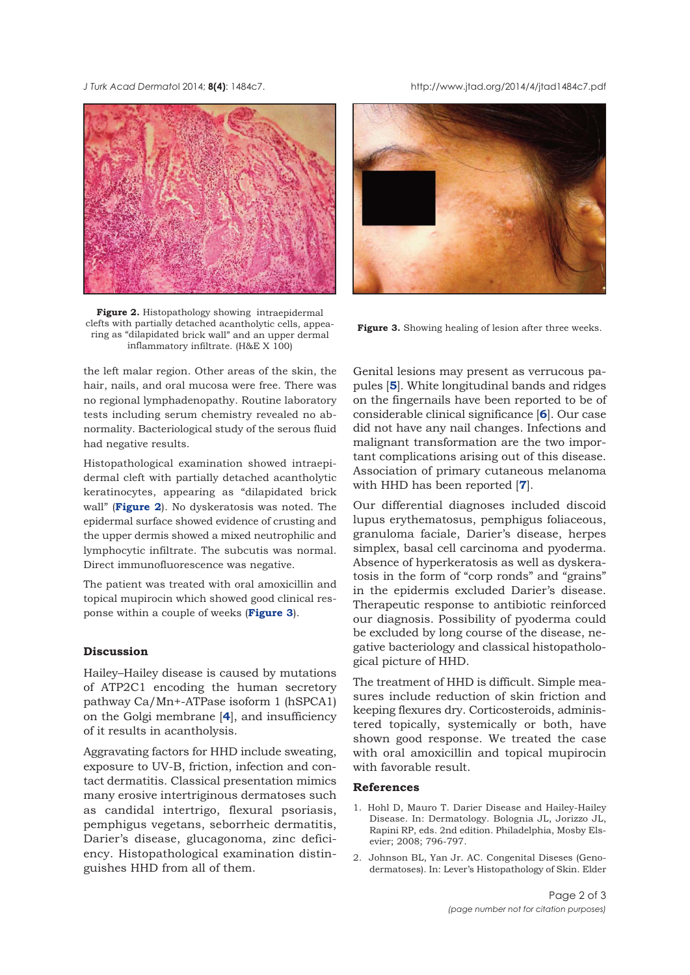<span id="page-1-0"></span>*J Turk Acad Dermato*l 2014; **8(4)**: 1484c7. http://www.jtad.org/2014/4/jtad1484c7.pdf



**Figure 2.** Histopathology showing intraepidermal clefts with partially detached acantholytic cells, appearing as "dilapidated brick wall" and an upper dermal inflammatory infiltrate. (H&E X 100)

the left malar region. Other areas of the skin, the hair, nails, and oral mucosa were free. There was no regional lymphadenopathy. Routine laboratory tests including serum chemistry revealed no abnormality. Bacteriological study of the serous fluid had negative results.

Histopathological examination showed intraepidermal cleft with partially detached acantholytic keratinocytes, appearing as "dilapidated brick wall" (**Figure 2**). No dyskeratosis was noted. The epidermal surface showed evidence of crusting and the upper dermis showed a mixed neutrophilic and lymphocytic infiltrate. The subcutis was normal. Direct immunofluorescence was negative.

The patient was treated with oral amoxicillin and topical mupirocin which showed good clinical response within a couple of weeks (**Figure 3**).

## **Discussion**

Hailey–Hailey disease is caused by mutations of ATP2C1 encoding the human secretory pathway Ca/Mn+-ATPase isoform 1 (hSPCA1) on the Golgi membrane [**[4](#page-2-0)**], and insufficiency of it results in acantholysis.

Aggravating factors for HHD include sweating, exposure to UV-B, friction, infection and contact dermatitis. Classical presentation mimics many erosive intertriginous dermatoses such as candidal intertrigo, flexural psoriasis, pemphigus vegetans, seborrheic dermatitis, Darier's disease, glucagonoma, zinc deficiency. Histopathological examination distinguishes HHD from all of them.



Figure 3. Showing healing of lesion after three weeks.

Genital lesions may present as verrucous papules [**[5](#page-2-0)**]. White longitudinal bands and ridges on the fingernails have been reported to be of considerable clinical significance [**[6](#page-2-0)**]. Our case did not have any nail changes. Infections and malignant transformation are the two important complications arising out of this disease. Association of primary cutaneous melanoma with HHD has been reported [**[7](#page-2-0)**].

Our differential diagnoses included discoid lupus erythematosus, pemphigus foliaceous, granuloma faciale, Darier's disease, herpes simplex, basal cell carcinoma and pyoderma. Absence of hyperkeratosis as well as dyskeratosis in the form of "corp ronds" and "grains" in the epidermis excluded Darier's disease. Therapeutic response to antibiotic reinforced our diagnosis. Possibility of pyoderma could be excluded by long course of the disease, negative bacteriology and classical histopathological picture of HHD.

The treatment of HHD is difficult. Simple measures include reduction of skin friction and keeping flexures dry. Corticosteroids, administered topically, systemically or both, have shown good response. We treated the case with oral amoxicillin and topical mupirocin with favorable result.

### **References**

- 1. Hohl D, Mauro T. Darier Disease and Hailey-Hailey Disease. In: Dermatology. Bolognia JL, Jorizzo JL, Rapini RP, eds. 2nd edition. Philadelphia, Mosby Elsevier; 2008; 796-797.
- 2. Johnson BL, Yan Jr. AC. Congenital Diseses (Genodermatoses). In: Lever's Histopathology of Skin. Elder